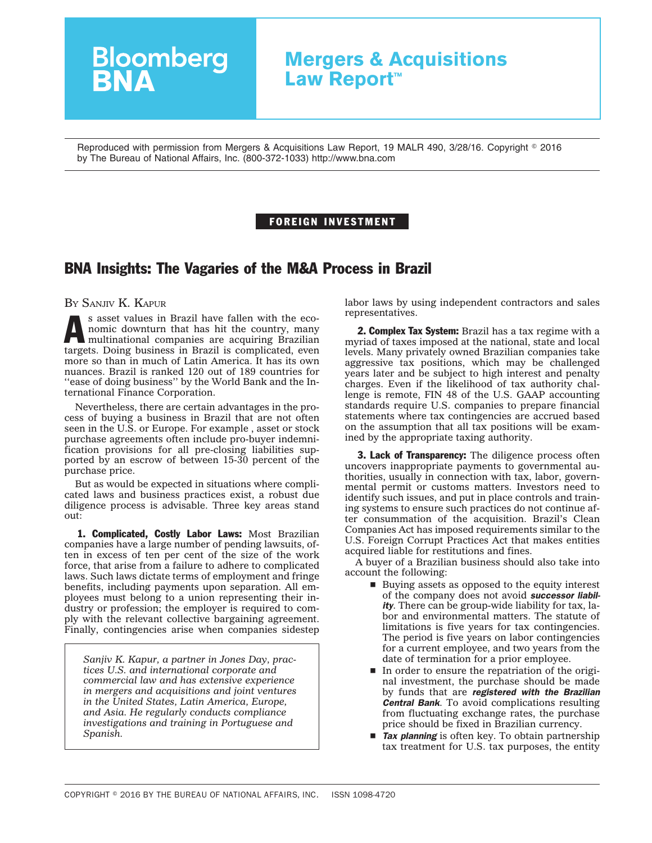## **Mergers & Acquisitions Law Report™**

Reproduced with permission from Mergers & Acquisitions Law Report, 19 MALR 490, 3/28/16. Copyright © 2016 by The Bureau of National Affairs, Inc. (800-372-1033) http://www.bna.com

## FOREIGN INVESTMENT

## BNA Insights: The Vagaries of the M&A Process in Brazil

BY SANJIV K. KAPUR

s asset values in Brazil have fallen with the economic downturn that has hit the country, many multinational companies are acquiring Brazilian targets. Doing business in Brazil is complicated, even more so than in much of Latin America. It has its own nuances. Brazil is ranked 120 out of 189 countries for "ease of doing business" by the World Bank and the International Finance Corporation.

**Bloomberg**<br>**BNA** 

Nevertheless, there are certain advantages in the process of buying a business in Brazil that are not often seen in the U.S. or Europe. For example , asset or stock purchase agreements often include pro-buyer indemnification provisions for all pre-closing liabilities supported by an escrow of between 15-30 percent of the purchase price.

But as would be expected in situations where complicated laws and business practices exist, a robust due diligence process is advisable. Three key areas stand out:

1. Complicated, Costly Labor Laws: Most Brazilian companies have a large number of pending lawsuits, often in excess of ten per cent of the size of the work force, that arise from a failure to adhere to complicated laws. Such laws dictate terms of employment and fringe benefits, including payments upon separation. All employees must belong to a union representing their industry or profession; the employer is required to comply with the relevant collective bargaining agreement. Finally, contingencies arise when companies sidestep

*Sanjiv K. Kapur, a partner in Jones Day, practices U.S. and international corporate and commercial law and has extensive experience in mergers and acquisitions and joint ventures in the United States, Latin America, Europe, and Asia. He regularly conducts compliance investigations and training in Portuguese and Spanish.*

labor laws by using independent contractors and sales representatives.

**2. Complex Tax System:** Brazil has a tax regime with a myriad of taxes imposed at the national, state and local levels. Many privately owned Brazilian companies take aggressive tax positions, which may be challenged years later and be subject to high interest and penalty charges. Even if the likelihood of tax authority challenge is remote, FIN 48 of the U.S. GAAP accounting standards require U.S. companies to prepare financial statements where tax contingencies are accrued based on the assumption that all tax positions will be examined by the appropriate taxing authority.

**3. Lack of Transparency:** The diligence process often uncovers inappropriate payments to governmental authorities, usually in connection with tax, labor, governmental permit or customs matters. Investors need to identify such issues, and put in place controls and training systems to ensure such practices do not continue after consummation of the acquisition. Brazil's Clean Companies Act has imposed requirements similar to the U.S. Foreign Corrupt Practices Act that makes entities acquired liable for restitutions and fines.

A buyer of a Brazilian business should also take into account the following:

- $\blacksquare$  <br> Buying assets as opposed to the equity interest of the company does not avoid *successor liability*. There can be group-wide liability for tax, labor and environmental matters. The statute of limitations is five years for tax contingencies. The period is five years on labor contingencies for a current employee, and two years from the date of termination for a prior employee.
- $\blacksquare$  In order to ensure the repatriation of the original investment, the purchase should be made by funds that are *registered with the Brazilian Central Bank*. To avoid complications resulting from fluctuating exchange rates, the purchase price should be fixed in Brazilian currency.
- **Tax planning** is often key. To obtain partnership tax treatment for U.S. tax purposes, the entity